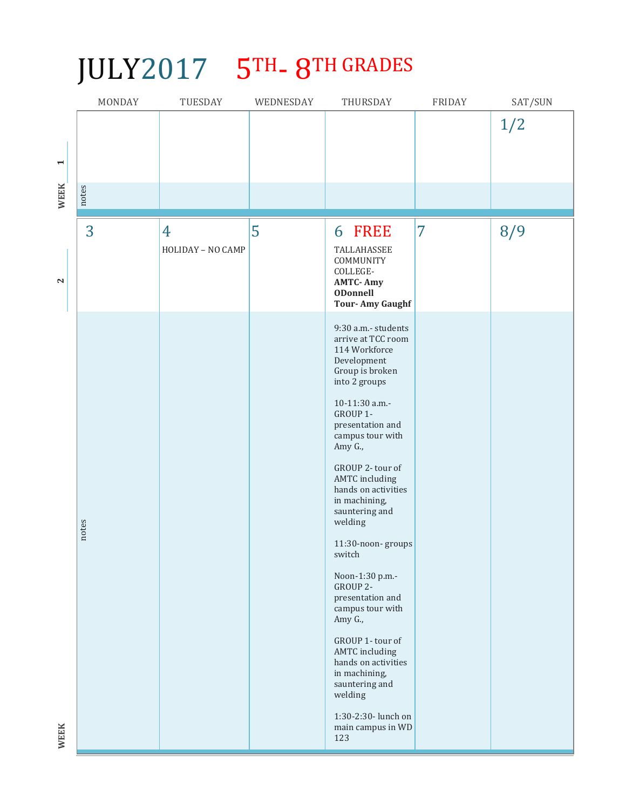## JULY2017 5TH-8TH GRADES

|                                      | MONDAY | TUESDAY                | WEDNESDAY | THURSDAY                                                                                                                                                                                                                                                                                                                                                                                                                                                                                                                                           | <b>FRIDAY</b> | SAT/SUN |
|--------------------------------------|--------|------------------------|-----------|----------------------------------------------------------------------------------------------------------------------------------------------------------------------------------------------------------------------------------------------------------------------------------------------------------------------------------------------------------------------------------------------------------------------------------------------------------------------------------------------------------------------------------------------------|---------------|---------|
| $\blacktriangleright$<br><b>WEEK</b> | notes  |                        |           |                                                                                                                                                                                                                                                                                                                                                                                                                                                                                                                                                    |               | 1/2     |
|                                      |        |                        |           |                                                                                                                                                                                                                                                                                                                                                                                                                                                                                                                                                    |               |         |
| $\mathbf{\mathbf{N}}$                | 3      | 4<br>HOLIDAY - NO CAMP | 5         | 6 FREE<br>TALLAHASSEE<br>COMMUNITY<br>COLLEGE-<br><b>AMTC-Amy</b><br><b>ODonnell</b><br><b>Tour-Amy Gaughf</b>                                                                                                                                                                                                                                                                                                                                                                                                                                     | 7             | 8/9     |
|                                      | notes  |                        |           | 9:30 a.m.- students<br>arrive at TCC room<br>114 Workforce<br>Development<br>Group is broken<br>into 2 groups<br>10-11:30 a.m.-<br>GROUP 1-<br>presentation and<br>campus tour with<br>Amy G.,<br>GROUP 2- tour of<br><b>AMTC</b> including<br>hands on activities<br>in machining,<br>sauntering and<br>welding<br>11:30-noon-groups<br>switch<br>Noon-1:30 p.m.-<br>GROUP 2-<br>presentation and<br>campus tour with<br>Amy G.,<br>GROUP 1-tour of<br><b>AMTC</b> including<br>hands on activities<br>in machining,<br>sauntering and<br>welding |               |         |
| <b>WEEK</b>                          |        |                        |           | 1:30-2:30- lunch on<br>main campus in WD<br>123                                                                                                                                                                                                                                                                                                                                                                                                                                                                                                    |               |         |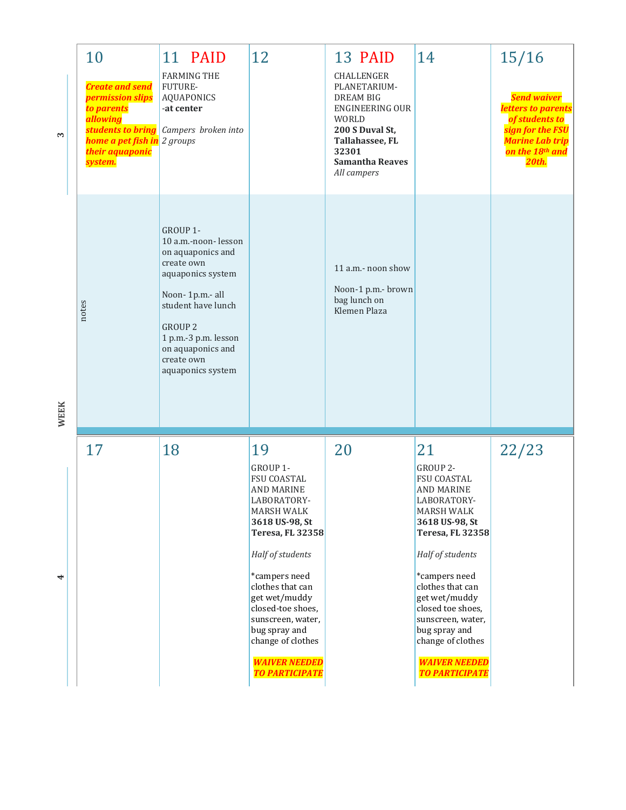| 3    | 10<br><b>Create and send</b><br>permission slips<br>to parents<br>allowing<br>students to bring<br>home a pet fish in 2 groups<br>their aquaponic<br>system. | 11 PAID<br><b>FARMING THE</b><br>FUTURE-<br><b>AQUAPONICS</b><br>-at center<br>Campers broken into                                                                                                                                 | 12                                                                                                                                                                                                                                                                                                                               | 13 PAID<br>CHALLENGER<br>PLANETARIUM-<br><b>DREAM BIG</b><br><b>ENGINEERING OUR</b><br>WORLD<br>200 S Duval St,<br>Tallahassee, FL<br>32301<br><b>Samantha Reaves</b><br>All campers | 14                                                                                                                                                                                                                                                                                                                               | 15/16<br><b>Send waiver</b><br>letters to parents<br>of students to<br>sign for the FSU<br><mark>Marine Lab trip</mark><br>on the 18th and<br>20th. |
|------|--------------------------------------------------------------------------------------------------------------------------------------------------------------|------------------------------------------------------------------------------------------------------------------------------------------------------------------------------------------------------------------------------------|----------------------------------------------------------------------------------------------------------------------------------------------------------------------------------------------------------------------------------------------------------------------------------------------------------------------------------|--------------------------------------------------------------------------------------------------------------------------------------------------------------------------------------|----------------------------------------------------------------------------------------------------------------------------------------------------------------------------------------------------------------------------------------------------------------------------------------------------------------------------------|-----------------------------------------------------------------------------------------------------------------------------------------------------|
| WEEK | notes                                                                                                                                                        | GROUP 1-<br>10 a.m.-noon-lesson<br>on aquaponics and<br>create own<br>aquaponics system<br>Noon-1p.m.- all<br>student have lunch<br><b>GROUP 2</b><br>1 p.m.-3 p.m. lesson<br>on aquaponics and<br>create own<br>aquaponics system |                                                                                                                                                                                                                                                                                                                                  | 11 a.m.- noon show<br>Noon-1 p.m.- brown<br>bag lunch on<br>Klemen Plaza                                                                                                             |                                                                                                                                                                                                                                                                                                                                  |                                                                                                                                                     |
| 4    | 17                                                                                                                                                           | 18                                                                                                                                                                                                                                 | 19<br>GROUP 1-<br>FSU COASTAL<br>AND MARINE<br>LABORATORY-<br>MARSH WALK<br>3618 US-98, St<br><b>Teresa, FL 32358</b><br>Half of students<br>*campers need<br>clothes that can<br>get wet/muddy<br>closed-toe shoes,<br>sunscreen, water,<br>bug spray and<br>change of clothes<br><b>WAIVER NEEDED</b><br><b>TO PARTICIPATE</b> | 20                                                                                                                                                                                   | 21<br>GROUP 2-<br>FSU COASTAL<br>AND MARINE<br>LABORATORY-<br>MARSH WALK<br>3618 US-98, St<br><b>Teresa, FL 32358</b><br>Half of students<br>*campers need<br>clothes that can<br>get wet/muddy<br>closed toe shoes,<br>sunscreen, water,<br>bug spray and<br>change of clothes<br><b>WAIVER NEEDED</b><br><b>TO PARTICIPATE</b> | 22/23                                                                                                                                               |